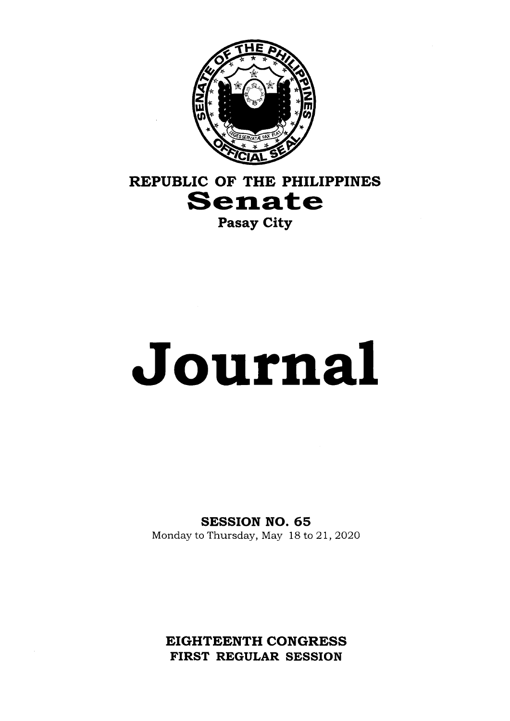

# **REPUBLIC OF THE PHILIPPINES**<br>**Senate**

Pasay City

# **Journal**

SESSION NO. 65

Monday to Thursday, May 18 to 21, 2020

EIGHTEENTH CONGRESS FIRST REGULAR SESSION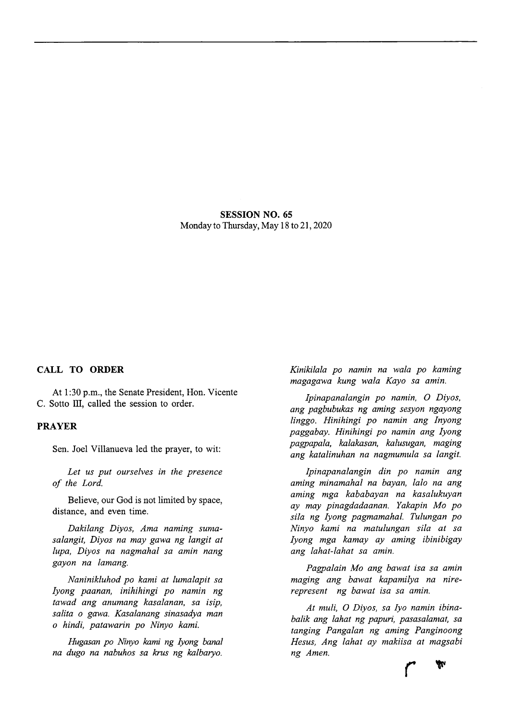SESSION NO. 65 Monday to Thursday, May 18 to 21, 2020

# CALL TO ORDER

At 1:30 p.m., the Senate President, Hon. Vicente C. Sotto III, called the session to order.

# PRAYER

Sen. Joel Villanueva led the prayer, to wit:

*Let us put ourselves in the presence of the Lord.*

Believe, our God is not limited by space, distance, and even time.

*Dakilang Diyos, Ama naming sumasalangit, Diyos na may gawa ng langit at lupa, Diyos na nagmahal sa aniin nang gayon na lamang.*

*Naninikluhod po kami at lumalapit sa lyong paanan, inihihingi po namin ng tawad ang anumang kasalanan, sa isip, salita 0 gawa. Kasalanang sinasadya man 0 hindi, patawarin po Ninyo kami.*

*Hugasan po Ninyo kami ng lyong banal na dugo na nabuhos sa krus ng kalbaryo.*

*Kinikilala po namin na wala po kaming magagawa kung wala Kayo sa amin.*

*Ipinapanalangin po namin, O Diyos, ang pagbubukas ng aming sesyon ngayong linggo. Hinihingi po namin ang Inyong paggabay. Hinihingi po namin ang lyong pagpapala, kalakasan, kalusugan, maging ang katalinuhan na nagmumula sa langit.*

*Ipinapanalangin din po namin ang aming minamahal na bayan, lalo na ang aming mga kababayan na kasalukuyan ay may pinagdadaanan. Yakapin Mo po sila ng lyong pagmamahal. Tulungan po Ninyo kami na matulungan sila at sa lyong mga kamay ay aming ibinibigay ang lahat-lahat sa amin.*

*Pagpalain Mo ang bawat isa sa amin maging ang bawat kapamilya na nirerepresent ng bawat isa sa amin.*

*At muli, O Diyos, sa lyo namin ibinabalik ang lahat ng papuri, pasasalamat, sa tanging Pangalan ng aming Panginoong Hesus, Ang lahat ay makiisa at magsabi ng Amen,* **r**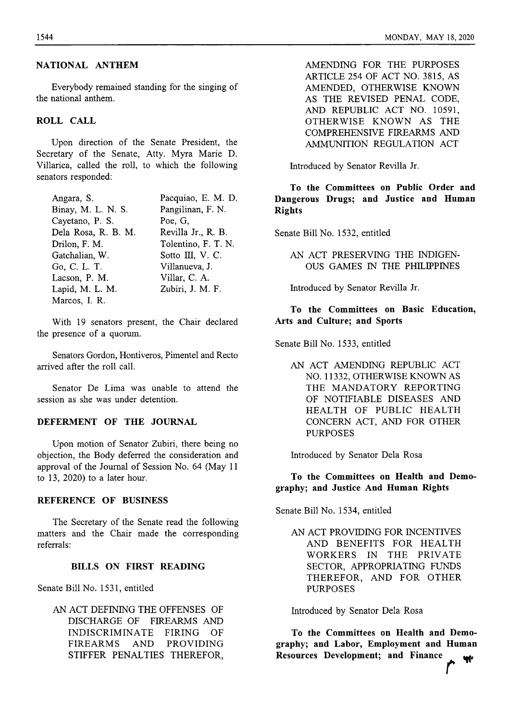Everybody remained standing for the singing of the national anthem.

# **ROLL CALL**

Upon direction of the Senate President, the Secretary of the Senate, Atty. Myra Marie D. Villarica, called the roll, to which the following senators responded;

| Angara, S.          | Pacquiao, E. M. D.  |
|---------------------|---------------------|
| Binay, M. L. N. S.  | Pangilinan, F. N.   |
| Cayetano, P. S.     | Poe, G.             |
| Dela Rosa, R. B. M. | Revilla Jr., R. B.  |
| Drilon, F. M.       | Tolentino, F. T. N. |
| Gatchalian, W.      | Sotto III, V. C.    |
| Go, C. L. T.        | Villanueva, J.      |
| Lacson, P. M.       | Villar, C. A.       |
| Lapid, M. L. M.     | Zubiri, J. M. F.    |
| Marcos, I. R.       |                     |

With 19 senators present, the Chair declared the presence of a quorum.

Senators Gordon, Hontiveros, Pimentel and Recto arrived after the roll call.

Senator De Lima was unable to attend the session as she was under detention.

# **DEFERMENT OF THE JOURNAL**

Upon motion of Senator Zubiri, there being no objection, the Body deferred the consideration and approval of the Journal of Session No. 64 (May <sup>11</sup> to 13, 2020) to a later hour.

#### **REFERENCE OF BUSINESS**

The Secretary of the Senate read the following matters and the Chair made the corresponding referrals:

# **BILLS ON FIRST READING**

Senate Bill No. 1531, entitled

AN ACT DEFINING THE OFFENSES OF DISCHARGE OF FIREARMS AND INDISCRIMINATE FIRING OF FIREARMS AND PROVIDING STIFFER PENALTIES THEREFOR, AMENDING FOR THE PURPOSES ARTICLE 254 OF ACT NO. 3815, AS AMENDED, OTHERWISE KNOWN AS THE REVISED PENAL CODE, AND REPUBLIC ACT NO. 10591, OTHERWISE KNOWN AS THE COMPREHENSIVE FIREARMS AND AMMUNITION REGULATION ACT

Introduced by Senator Revilla Jr.

**To the Committees on Public Order and Dangerous Drugs; and Justice and Human Rights**

Senate Bill No. 1532, entitled

AN ACT PRESERVING THE INDIGEN-OUS GAMES IN THE PHILIPPINES

Introduced by Senator Revilla Jr.

# **To the Committees on Basic Education, Arts and Culture; and Sports**

Senate Bill No. 1533, entitled

AN ACT AMENDING REPUBLIC ACT NO. 11332, OTHERWISE KNOWN AS THE MANDATORY REPORTING OF NOTIFIABLE DISEASES AND HEALTH OF PUBLIC HEALTH CONCERN ACT, AND FOR OTHER PURPOSES

Introduced by Senator Dela Rosa

**To the Committees on Health and Demography; and Justice And Human Rights**

Senate Bill No. 1534, entitled

AN ACT PROVIDING FOR INCENTIVES AND BENEFITS FOR HEALTH WORKERS IN THE PRIVATE SECTOR, APPROPRIATING FUNDS THEREFOR, AND FOR OTHER PURPOSES

Introduced by Senator Dela Rosa

**To the Committees on Health and Demography; and Labor, Employment and Human Resources Development; and Finance ^**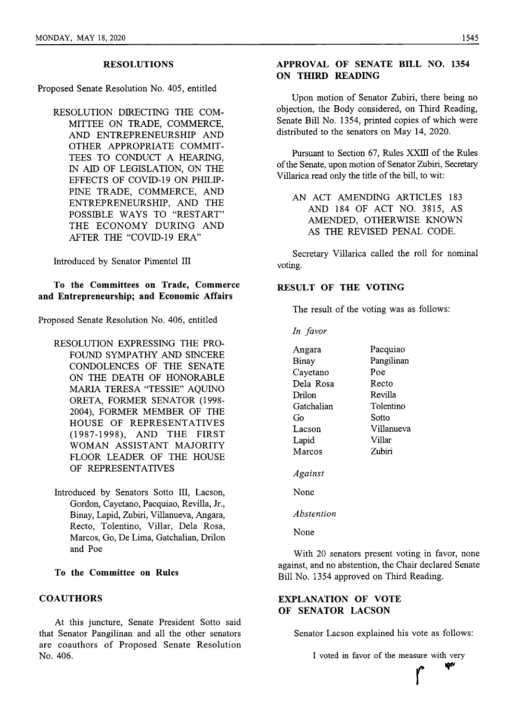#### **RESOLUTIONS**

Proposed Senate Resolution No. 405, entitled

RESOLUTION DIRECTING THE COM-MITTEE ON TRADE, COMMERCE, AND ENTREPRENEURSHIP AND OTHER APPROPRIATE COMMIT-TEES TO CONDUCT A HEARING, IN AID OF LEGISLATION, ON THE EFFECTS OF COVID-19 ON PHILIP-PINE TRADE, COMMERCE, AND ENTREPRENEURSHIP, AND THE POSSIBLE WAYS TO "RESTART" THE ECONOMY DURING AND AFTER THE "COVID-19 ERA"

Introduced by Senator Pimentel III

**To the Committees on Trade, Commerce and Entrepreneurship; and Economic Affairs**

Proposed Senate Resolution No. 406, entitled

- RESOLUTION EXPRESSING THE PRO-FOUND SYMPATHY AND SINCERE CONDOLENCES OF THE SENATE ON THE DEATH OF HONORABLE MARIA TERESA "TESSIE" AQUINO ORETA, FORMER SENATOR (1998- 2004), FORMER MEMBER OF THE HOUSE OF REPRESENTATIVES (1987-1998), AND THE FIRST WOMAN ASSISTANT MAJORITY FLOOR LEADER OF THE HOUSE OF REPRESENTATIVES
- Introduced by Senators Sotto III, Lacson, Gordon, Cayetano, Pacquiao, Revilla, Jr., Binay, Lapid, Zubiri, Villanueva, Angara, Recto, Tolentino, Villar, Dela Rosa, Marcos, Go, De Lima, Gatchalian, Drilon and Poe
- **To the Committee on Rules**

# **COAUTHORS**

At this juncture. Senate President Sotto said that Senator Pangilinan and all the other senators are coauthors of Proposed Senate Resolution No. 406.

# **APPROVAL OF SENATE BILL NO. 1354 ON THIRD READING**

Upon motion of Senator Zubiri, there being no objection, the Body considered, on Third Reading, Senate Bill No. 1354, printed copies of which were distributed to the senators on May 14, 2020.

Pursuant to Section 67, Rules XXIII of the Rules ofthe Senate, upon motion of Senator Zubiri, Secretary Villarica read only the title of the bill, to wit:

AN ACT AMENDING ARTICLES 183 AND 184 OF ACT NO. 3815, AS AMENDED, OTHERWISE KNOWN AS THE REVISED PENAL CODE.

Secretary Villarica called the roll for nominal voting.

#### **RESULT** OF **THE** VOTING

The result of the voting was as follows:

*In favor*

| Angara     | Pacquiao   |
|------------|------------|
| Binay      | Pangilinan |
| Cayetano   | Poe        |
| Dela Rosa  | Recto      |
| Drilon     | Revilla    |
| Gatchalian | Tolentino  |
| Gо         | Sotto      |
| Lacson     | Villanueva |
| Lapid      | Villar     |
| Marcos     | Zubiri     |
| Against    |            |

None

*Abstention*

None

With 20 senators present voting in favor, none against, and no abstention, the Chair declared Senate Bill No. 1354 approved on Third Reading.

# EXPLANATION OF VOTE OF SENATOR LACSON

Senator Lacson explained his vote as follows:

I voted in favor of the measure with very

 $\int$ 

W۵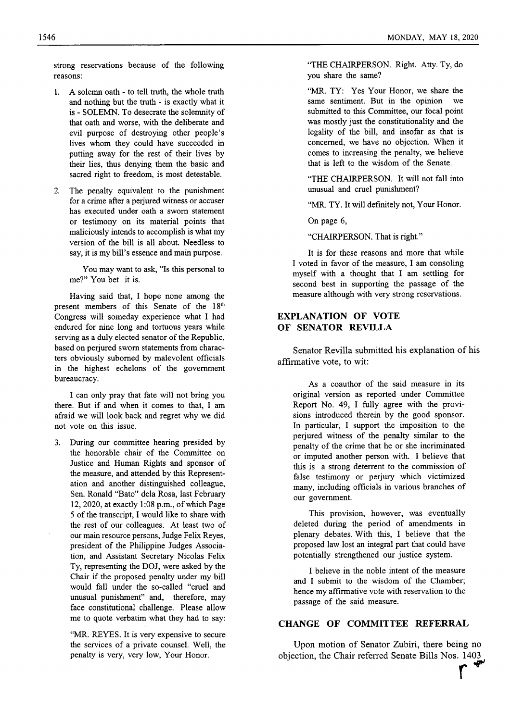strong reservations because of the following reasons:

- 1. A solemn oath to tell truth, the whole truth and nothing but the truth - is exactly what it is - SOLEMN. To desecrate the solemnity of that oath and worse, with the deliberate and evil purpose of destroying other people's lives whom they could have succeeded in putting away for the rest of their lives by their lies, thus denying them the basic and sacred right to freedom, is most detestable.
- 2. The penalty equivalent to the punishment for a crime after a perjured witness or accuser has executed under oath a sworn statement or testimony on its material points that maliciously intends to accomplish is what my version of the bill is all about. Needless to say, it is my bill's essence and main purpose.

You may want to ask, "Is this personal to me?" You bet it is.

Having said that, I hope none among the present members of this Senate of the 18th Congress will someday experience what I had endured for nine long and tortuous years while serving as a duly elected senator of the Republic, based on perjured sworn statements from characters obviously suborned by malevolent officials in the highest echelons of the government bureaucracy.

I can only pray that fate will not bring you there. But if and when it comes to that, I am afraid we will look back and regret why we did not vote on this issue.

3. During our committee hearing presided by the honorable chair of the Committee on Justice and Human Rights and sponsor of the measure, and attended by this Representation and another distinguished colleague. Sen. Ronald "Bato" dela Rosa, last February 12, 2020, at exactly 1:08 p.m., of which Page 5 of the transcript, I would like to share with the rest of our colleagues. At least two of our main resource persons. Judge Felix Reyes, president of the Philippine Judges Association, and Assistant Secretary Nicolas Felix Ty, representing the DOJ, were asked by the Chair if the proposed penalty under my bill would fall under the so-called "cruel and unusual punishment" and, therefore, may face constitutional challenge. Please allow me to quote verbatim what they had to say:

"MR. REYES. It is very expensive to secure the services of a private counsel. Well, the penalty is very, very low. Your Honor.

"THE CHAIRPERSON. Right. Atty. Ty, do you share the same?

"MR. TY: Yes Your Honor, we share the same sentiment. But in the opinion we submitted to this Committee, our focal point was mostly just the constitutionality and the legality of the bill, and insofar as that is concerned, we have no objection. When it comes to increasing the penalty, we believe that is left to the wisdom of the Senate.

"THE CHAIRPERSON. It will not fall into unusual and cruel punishment?

"MR. TY. It will definitely not. Your Honor.

On page 6,

"CHAIRPERSON. That is right."

It is for these reasons and more that while I voted in favor of the measure, I am consoling myself with a thought that I am settling for second best in supporting the passage of the measure although with very strong reservations.

# EXPLANATION OF VOTE OF SENATOR REVILLA

Senator Revilla submitted his explanation of his affirmative vote, to wit:

As a coauthor of the said measure in its original version as reported under Committee Report No. 49, I fully agree with the provisions introduced therein by the good sponsor. In particular, I support the imposition to the perjured witness of the penalty similar to the penalty of the crime that he or she incriminated or imputed another person with. I believe that this is a strong deterrent to the commission of false testimony or perjury which victimized many, including officials in various branches of our government.

This provision, however, was eventually deleted during the period of amendments in plenary debates. With this, I believe that the proposed law lost an integral part that could have potentially strengthened our justice system.

I believe in the noble intent of the measure and I submit to the wisdom of the Chamber; hence my affirmative vote with reservation to the passage of the said measure.

# **CHANGE OF COMMITTEE REFERRAL**

Upon motion of Senator Zubiri, there being no objection, the Chair referred Senate Bills Nos. 1403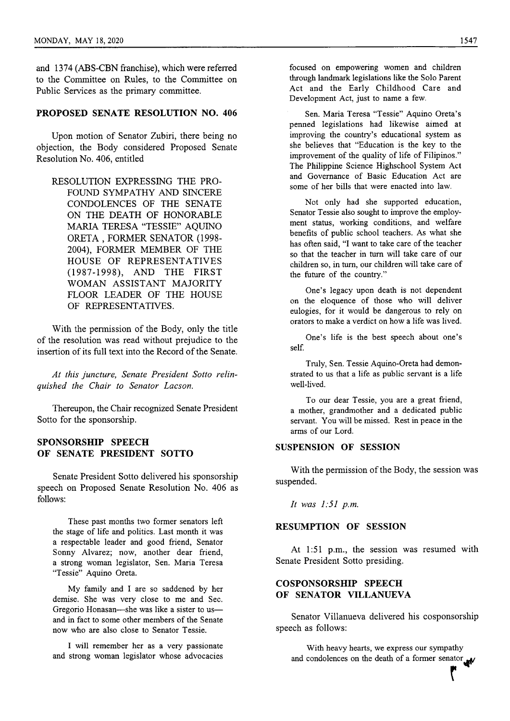and 1374 (ABS-CBN franchise), which were referred to the Committee on Rules, to the Committee on Public Services as the primary committee.

# **PROPOSED SENATE RESOLUTION NO. 406**

Upon motion of Senator Zubiri, there being no objection, the Body considered Proposed Senate Resolution No. 406, entitled

RESOLUTION EXPRESSING THE PRO-FOUND SYMPATHY AND SINCERE CONDOLENCES OF THE SENATE ON THE DEATH OF HONORABLE MARIA TERESA "TESSIE" AQUINO ORETA , FORMER SENATOR (1998- 2004), FORMER MEMBER OF THE HOUSE OF REPRESENTATIVES (1987-1998), AND THE FIRST WOMAN ASSISTANT MAJORITY FLOOR LEADER OF THE HOUSE OF REPRESENTATIVES.

With the pennission of the Body, only the title of the resolution was read without prejudice to the insertion of its full text into the Record of the Senate.

*At this juncture, Senate President Sotto relinquished the Chair to Senator Lacson.*

Thereupon, the Chair recognized Senate President Sotto for the sponsorship.

# **SPONSORSHIP SPEECH OF SENATE PRESIDENT SOTTO**

Senate President Sotto delivered his sponsorship speech on Proposed Senate Resolution No. 406 as follows;

These past months two former senators left the stage of life and politics. Last month it was a respectable leader and good friend. Senator Sonny Alvarez; now, another dear friend, a strong woman legislator. Sen. Maria Teresa "Tessie" Aquino Oreta.

My family and I are so saddened by her demise. She was very close to me and Sec. Gregorio Honasan—she was like a sister to us and in fact to some other members of the Senate now who are also close to Senator Tessie.

I will remember her as a very passionate and strong woman legislator whose advocacies focused on empowering women and children through landmark legislations like the Solo Parent Act and the Early Childhood Care and Development Act, just to name a few.

Sen. Maria Teresa "Tessie" Aquino Greta's penned legislations had likewise aimed at improving the country's educational system as she believes that "Education is the key to the improvement of the quality of life of Filipinos." The Philippine Science Highschool System Act and Governance of Basic Education Act are some of her bills that were enacted into law.

Not only had she supported education. Senator Tessie also sought to improve the employment status, working conditions, and welfare benefits of public school teachers. As what she has often said, "I want to take care of the teacher so that the teacher in turn will take care of our children so, in turn, our children will take care of the future of the country."

One's legacy upon death is not dependent on the eloquence of those who will deliver eulogies, for it would be dangerous to rely on orators to make a verdict on how a life was lived.

One's life is the best speech about one's self

Truly, Sen. Tessie Aquino-Oreta had demonstrated to us that a life as public servant is a life well-lived.

To our dear Tessie, you are a great friend, a mother, grandmother and a dedicated public servant. You will be missed. Rest in peace in the arms of our Lord.

# **SUSPENSION OF SESSION**

With the permission of the Body, the session was suspended.

*It was 1:51 p.m.*

#### **RESUMPTION OF SESSION**

At 1:51 p.m., the session was resumed with Senate President Sotto presiding.

# **COSPONSORSHIP SPEECH OF SENATOR VILLANUEVA**

Senator Villanueva delivered his cosponsorship speech as follows:

With heavy hearts, we express our sympathy and condolences on the death of a former senator

**r**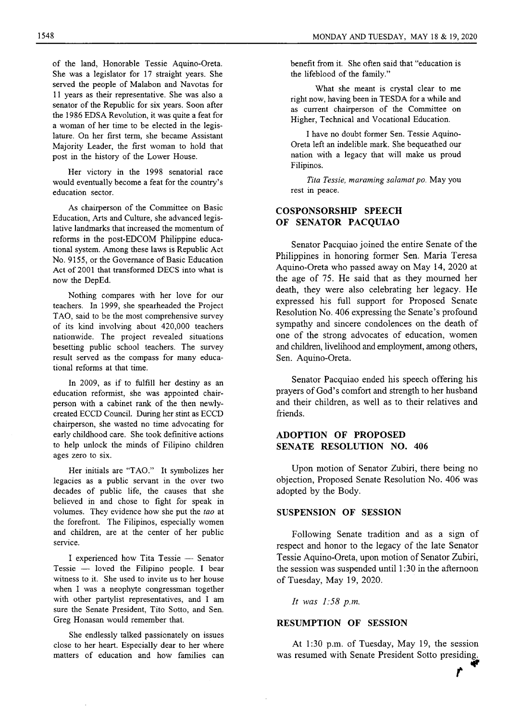of the land, Honorable Tessie Aquino-Oreta. She was a legislator for 17 straight years. She served the people of Malabon and Navotas for 11 years as their representative. She was also a senator of the Republic for six years. Soon after the 1986 EDSA Revolution, it was quite a feat for a woman of her time to be elected in the legislature. On her first term, she became Assistant Majority Leader, the first woman to hold that post in the history of the Lower House.

Her victory in the 1998 senatorial race would eventually become a feat for the country's education sector.

As chairperson of the Committee on Basic Education, Arts and Culture, she advanced legislative landmarks that increased the momentum of reforms in the post-EDCOM Philippine educational system. Among these laws is Republic Act No. 9155, or the Governance of Basic Education Act of 2001 that transformed DECS into what is now the DepEd.

Nothing compares with her love for our teachers. In 1999, she spearheaded the Project TAO, said to be the most comprehensive survey of its kind involving about 420,000 teachers nationwide. The project revealed situations besetting public school teachers. The survey result served as the compass for many educational reforms at that time.

In 2009, as if to fulfill her destiny as an education reformist, she was appointed chairperson with a cabinet rank of the then newlycreated ECCD Council. During her stint as ECCD chairperson, she wasted no time advocating for early childhood care. She took definitive actions to help unlock the minds of Filipino children ages zero to six.

Her initials are "TAO." It symbolizes her legacies as a public servant in the over two decades of public life, the causes that she believed in and chose to fight for speak in volumes. They evidence how she put the *tao* at the forefront. The Filipinos, especially women and children, are at the center of her public service.

I experienced how Tita Tessie — Senator Tessie — loved the Filipino people. I bear witness to it. She used to invite us to her house when I was a neophyte congressman together with other partylist representatives, and I am sure the Senate President, Tito Sotto, and Sen. Greg Honasan would remember that.

She endlessly talked passionately on issues close to her heart. Especially dear to her where matters of education and how families can benefit from it. She often said that "education is the lifeblood of the family."

What she meant is crystal clear to me right now, having been in TESDA for a while and as current chairperson of the Committee on Higher, Technical and Vocational Education.

I have no doubt former Sen. Tessie Aquino-Oreta left an indelible mark. She bequeathed our nation with a legacy that will make us proud Filipinos.

*Tita Tessie, maraming salamat po.* May you rest in peace.

# **COSPONSORSHIP SPEECH OF SENATOR PACQUIAO**

Senator Pacquiao joined the entire Senate of the Philippines in honoring former Sen. Maria Teresa Aquino-Oreta who passed away on May 14, 2020 at the age of 75. He said that as they mourned her death, they were also celebrating her legacy. He expressed his full support for Proposed Senate Resolution No. 406 expressing the Senate's profound sympathy and sincere condolences on the death of one of the strong advocates of education, women and children, livelihood and employment, among others. Sen. Aquino-Oreta.

Senator Pacquiao ended his speech offering his prayers of God's comfort and strength to her husband and their children, as well as to their relatives and friends.

# **ADOPTION OF PROPOSED SENATE RESOLUTION NO. 406**

Upon motion of Senator Zubiri, there being no objection. Proposed Senate Resolution No. 406 was adopted by the Body.

#### **SUSPENSION OF SESSION**

Following Senate tradition and as a sign of respect and honor to the legacy of the late Senator Tessie Aquino-Oreta, upon motion of Senator Zubiri, the session was suspended until 1:30 in the afternoon of Tuesday, May 19, 2020.

*It was 1:58 p.m.*

#### **RESUMPTION OF SESSION**

At 1:30 p.m. of Tuesday, May 19, the session was resumed with Senate President Sotto presiding.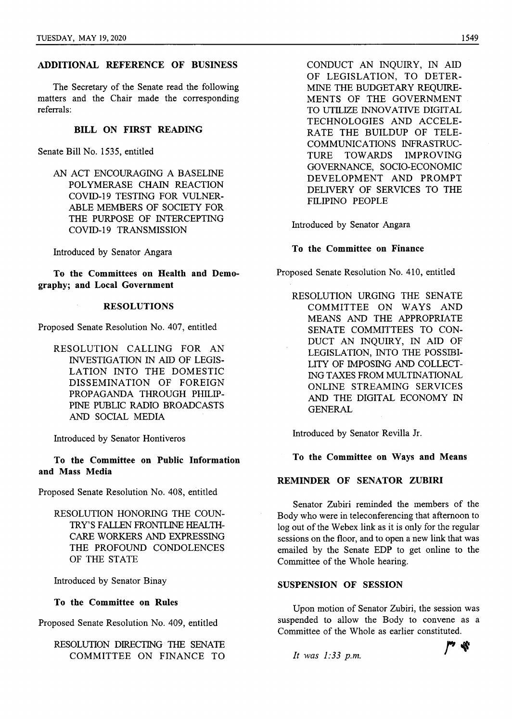# **ADDITIONAL REFERENCE OF BUSINESS**

The Secretary of the Senate read the following matters and the Chair made the corresponding referrals:

# **BILL ON FIRST READING**

Senate Bill No. 1535, entitled

AN ACT ENCOURAGING A BASELINE POLYMERASE CHAIN REACTION COVID-19 TESTING FOR VULNER-ABLE MEMBERS OF SOCIETY FOR THE PURPOSE OF INTERCEPTING COVID-19 TRANSMISSION

Introduced by Senator Angara

**To the Committees on Health and Demography; and Local Government**

#### **RESOLUTIONS**

Proposed Senate Resolution No. 407, entitled

RESOLUTION CALLING FOR AN INVESTIGATION IN AID OF LEGIS-LATION INTO THE DOMESTIC DISSEMINATION OF FOREIGN PROPAGANDA THROUGH PHILIP-PINE PUBLIC RADIO BROADCASTS AND SOCIAL MEDIA

Introduced by Senator Hontiveros

**To the Committee on Public Information and Mass Media**

Proposed Senate Resolution No. 408, entitled

RESOLUTION HONORING THE COUN-TRY'S FALLEN FRONTLINE HEALTH-CARE WORKERS AND EXPRESSING THE PROFOUND CONDOLENCES OF THE STATE

Introduced by Senator Binay

**To the Committee on Rules**

Proposed Senate Resolution No. 409, entitled

RESOLUTION DIRECTING THE SENATE COMMITTEE ON FINANCE TO CONDUCT AN INQUIRY, IN AID OF LEGISLATION, TO DETER-MINE THE BUDGETARY REQUIRE-MENTS OF THE GOVERNMENT TO UTILIZE INNOVATIVE DIGITAL TECHNOLOGIES AND ACCELE-RATE THE BUILDUP OF TELE-COMMUNICATIONS INFRASTRUC-TURE TOWARDS IMPROVING GOVERNANCE, SOCIO-ECONOMIC DEVELOPMENT AND PROMPT DELIVERY OF SERVICES TO THE FILIPINO PEOPLE

Introduced by Senator Angara

# **To the Committee on Finance**

Proposed Senate Resolution No. 410, entitled

RESOLUTION URGING THE SENATE COMMITTEE ON WAYS AND MEANS AND THE APPROPRIATE SENATE COMMITTEES TO CON-DUCT AN INQUIRY, IN AID OF LEGISLATION, INTO THE POSSIBI-LITY OF IMPOSING AND COLLECT-ING TAXES FROM MULTINATIONAL ONLINE STREAMING SERVICES AND THE DIGITAL ECONOMY IN **GENERAL** 

Introduced by Senator Revilla Jr.

**To the Committee on Ways and Means**

# **REMINDER OF SENATOR ZUBIRI**

Senator Zubiri reminded the members of the Body who were in teleconferencing that afternoon to log out of the Webex link as it is only for the regular sessions on the floor, and to open a new link that was emailed by the Senate EDP to get online to the Committee of the Whole hearing.

# **SUSPENSION OF SESSION**

Upon motion of Senator Zubiri, the session was suspended to allow the Body to convene as a Committee of the Whole as earlier constituted.

*It was 1:33 p.m.*